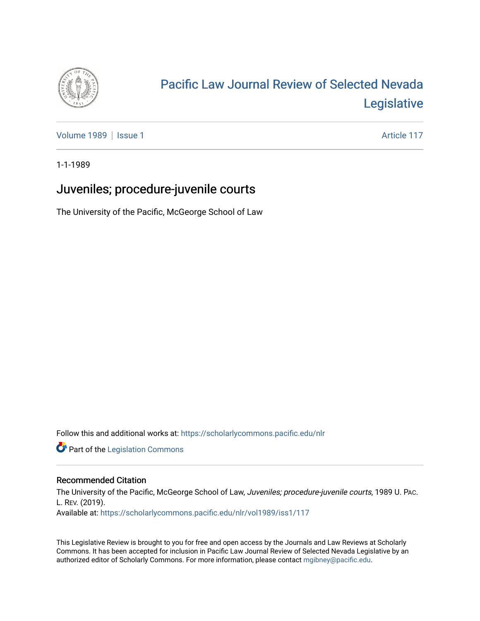

## [Pacific Law Journal Review of Selected Nevada](https://scholarlycommons.pacific.edu/nlr)  [Legislative](https://scholarlycommons.pacific.edu/nlr)

[Volume 1989](https://scholarlycommons.pacific.edu/nlr/vol1989) | [Issue 1](https://scholarlycommons.pacific.edu/nlr/vol1989/iss1) Article 117

1-1-1989

## Juveniles; procedure-juvenile courts

The University of the Pacific, McGeorge School of Law

Follow this and additional works at: [https://scholarlycommons.pacific.edu/nlr](https://scholarlycommons.pacific.edu/nlr?utm_source=scholarlycommons.pacific.edu%2Fnlr%2Fvol1989%2Fiss1%2F117&utm_medium=PDF&utm_campaign=PDFCoverPages) 

**Part of the [Legislation Commons](http://network.bepress.com/hgg/discipline/859?utm_source=scholarlycommons.pacific.edu%2Fnlr%2Fvol1989%2Fiss1%2F117&utm_medium=PDF&utm_campaign=PDFCoverPages)** 

## Recommended Citation

The University of the Pacific, McGeorge School of Law, Juveniles; procedure-juvenile courts, 1989 U. PAc. L. REV. (2019). Available at: [https://scholarlycommons.pacific.edu/nlr/vol1989/iss1/117](https://scholarlycommons.pacific.edu/nlr/vol1989/iss1/117?utm_source=scholarlycommons.pacific.edu%2Fnlr%2Fvol1989%2Fiss1%2F117&utm_medium=PDF&utm_campaign=PDFCoverPages) 

This Legislative Review is brought to you for free and open access by the Journals and Law Reviews at Scholarly Commons. It has been accepted for inclusion in Pacific Law Journal Review of Selected Nevada Legislative by an authorized editor of Scholarly Commons. For more information, please contact [mgibney@pacific.edu](mailto:mgibney@pacific.edu).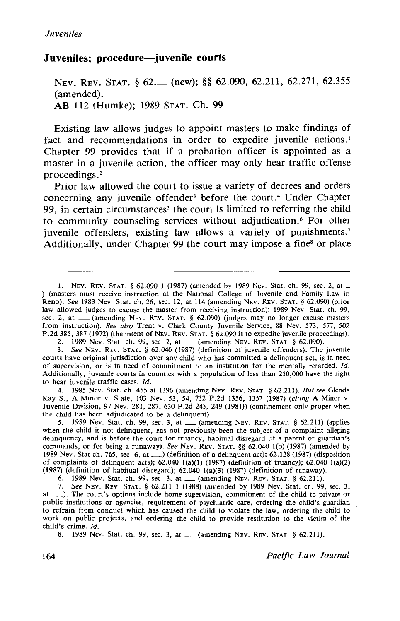## **Juveniles; procedure-juvenile courts**

NEV. REV. STAT. § 62. (new); §§ 62.090, 62.211, 62.271, 62.355 (amended). AB 112 (Humke); 1989 STAT. Ch. 99

Existing law allows judges to appoint masters to make findings of fact and recommendations in order to expedite iuvenile actions.<sup>1</sup> Chapter 99 provides that if a probation officer is appointed as a master in a juvenile action, the officer may only hear traffic offense proceedings.<sup>2</sup>

Prior law allowed the court to issue a variety of decrees and orders concerning any juvenile offender<sup>3</sup> before the court.<sup>4</sup> Under Chapter 99, in certain circumstances<sup>5</sup> the court is limited to referring the child to community counseling services without adjudication. 6 For other juvenile offenders, existing law allows a variety of punishments.<sup>7</sup> Additionally, under Chapter 99 the court may impose a fine<sup>8</sup> or place

2. 1989 Nev. Stat. ch. 99, sec. 2, at \_\_ (amending NEv. REV. STAT. § 62.090).

3. *See* NEv. REv. STAT. § 62.040 (1987) (definition of juvenile offenders). The juvenile courts have original jurisdiction over any child who has committed a delinquent act, is ir: need of supervision, or is in need of commitment to an institution for the mentally retarded. *!d.*  Additionally, juvenile courts in counties with a population of less than 250,000 have the right to hear juvenile traffic cases. *!d.* 

4. 1985 Nev. Stat. ch. 455 at 1396 (amending NEv. REv. STAT. § 62.211). *But see* Glenda Kay S., A Minor v. State, 103 Nev. 53, 54, 732 P.2d 1356, 1357 (1987) (citing A Minor v. Juvenile Division, 97 Nev. 281, 287, 630 P.2d 245, 249 (1981)) (confinement only proper when the child has been adjudicated to be a delinquent).

5. 1989 Nev. Stat. ch. 99, sec. 3, at  $\frac{1}{2}$  (amending NEV. REV. STAT. § 62.211) (applies when the child is not delinquent, has not previously been the subject of a complaint alleging delinquency, and is before the court for truancy, habitual disregard of a parent or guardian's commands, or for being a runaway). *See* NEv. REv. STAT. §§ 62.040 !(b) (1987) (amended by 1989 Nev. Stat ch. 765, sec. 6, at\_) (definition of a delinquent act); 62.128 (1987) (disposition of complaints of delinquent acts);  $62.0401(a)(1)$  (1987) (definition of truancy);  $62.0401(a)(2)$ (1987) (definition of habitual disregard); 62.040 l(a)(3) (1987) (definition of runaway).

6. 1989 Nev. Stat. ch. 99, sec. 3, at\_ (amending NEv. REv. STAT. § 62.211).

7. *See* NEv. REv. STAT. § 62.211 I (1988) (amended by 1989 Nev. Stat. ch. 99, sec. 3, at \_\_\_). The court's options include home supervision, commitment of the child to private or public institutions or agencies, requirement of psychiatric care, ordering the child's guardian to refrain from conduct which has caused the child to violate the law, ordering the child to work on public projects, and ordering the child to provide restitution to the victim of the child's crime. *Id.* 

8. 1989 Nev. Stat. ch. 99, sec. 3, at \_\_ (amending NEv. REV. STAT. § 62.211).

164 *Pacific Law Journal* 

l. NEv. REv. STAT. § 62.090 1 (1987) (amended by 1989 Nev. Stat. ch. 99, sec. 2, at \_ ) (masters must receive instruction at the National College of Juvenile and Family Law in Reno). *See* 1983 Nev. Stat. ch. 26, sec. 12, at 114 (amending NEv. REv. STAT.§ 62.090) (prior law allowed judges to excuse the master from receiving instruction); 1989 Nev. Stat. ch. 99, sec. 2, at \_\_ (amending NEV. REV. STAT. § 62.090) (judges may no longer excuse masters from instruction). *See also* Trent v. Clark County Juvenile Service, 88 Nev. 573, 577, 502 P.2d 385, 387 (1972) (the intent of NEV. REV. STAT. § 62.090 is to expedite juvenile proceedings).